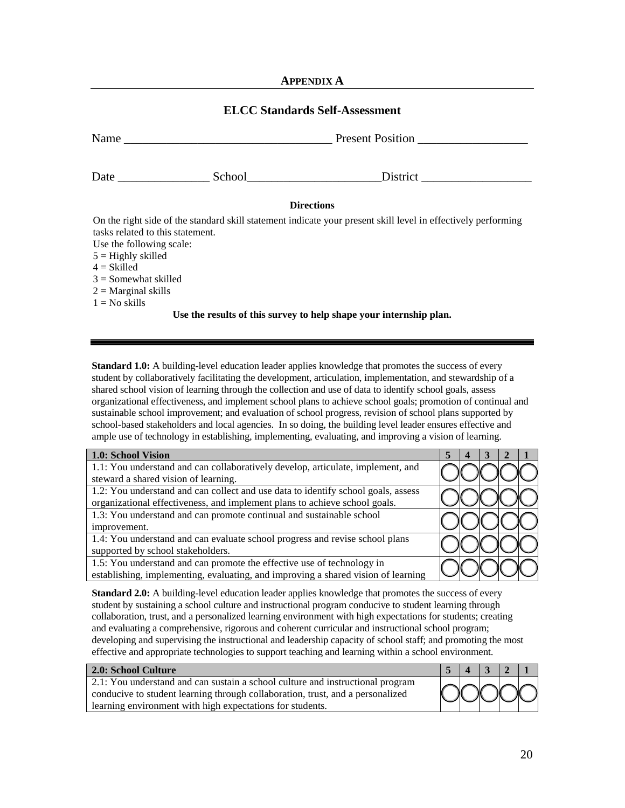## **APPENDIX A**

## **ELCC Standards Self-Assessment**

| Name $\_\_$                      |                                                                                                                                                                                                                                | Present Position                                                                                              |
|----------------------------------|--------------------------------------------------------------------------------------------------------------------------------------------------------------------------------------------------------------------------------|---------------------------------------------------------------------------------------------------------------|
|                                  | School and the second second second second second second second second second second second second second second second second second second second second second second second second second second second second second seco | <b>District</b>                                                                                               |
|                                  | <b>Directions</b>                                                                                                                                                                                                              |                                                                                                               |
|                                  |                                                                                                                                                                                                                                | On the right side of the standard skill statement indicate your present skill level in effectively performing |
| tasks related to this statement. |                                                                                                                                                                                                                                |                                                                                                               |
| Use the following scale:         |                                                                                                                                                                                                                                |                                                                                                               |
| $5 =$ Highly skilled             |                                                                                                                                                                                                                                |                                                                                                               |
| $4 = Skilled$                    |                                                                                                                                                                                                                                |                                                                                                               |
| $3 =$ Somewhat skilled           |                                                                                                                                                                                                                                |                                                                                                               |
| $2$ = Marginal skills            |                                                                                                                                                                                                                                |                                                                                                               |
| $1 = No$ skills                  |                                                                                                                                                                                                                                |                                                                                                               |
|                                  | Use the results of this survey to help shape your internship plan.                                                                                                                                                             |                                                                                                               |

**Standard 1.0:** A building-level education leader applies knowledge that promotes the success of every student by collaboratively facilitating the development, articulation, implementation, and stewardship of a shared school vision of learning through the collection and use of data to identify school goals, assess organizational effectiveness, and implement school plans to achieve school goals; promotion of continual and sustainable school improvement; and evaluation of school progress, revision of school plans supported by school-based stakeholders and local agencies. In so doing, the building level leader ensures effective and ample use of technology in establishing, implementing, evaluating, and improving a vision of learning.

| 1.0: School Vision                                                                |  |  |  |
|-----------------------------------------------------------------------------------|--|--|--|
| 1.1: You understand and can collaboratively develop, articulate, implement, and   |  |  |  |
| steward a shared vision of learning.                                              |  |  |  |
| 1.2: You understand and can collect and use data to identify school goals, assess |  |  |  |
| organizational effectiveness, and implement plans to achieve school goals.        |  |  |  |
| 1.3: You understand and can promote continual and sustainable school              |  |  |  |
| improvement.                                                                      |  |  |  |
| 1.4: You understand and can evaluate school progress and revise school plans      |  |  |  |
| supported by school stakeholders.                                                 |  |  |  |
| 1.5: You understand and can promote the effective use of technology in            |  |  |  |
| establishing, implementing, evaluating, and improving a shared vision of learning |  |  |  |

**Standard 2.0:** A building-level education leader applies knowledge that promotes the success of every student by sustaining a school culture and instructional program conducive to student learning through collaboration, trust, and a personalized learning environment with high expectations for students; creating and evaluating a comprehensive, rigorous and coherent curricular and instructional school program; developing and supervising the instructional and leadership capacity of school staff; and promoting the most effective and appropriate technologies to support teaching and learning within a school environment.

| 2.0: School Culture                                                            |  |   |  |     |
|--------------------------------------------------------------------------------|--|---|--|-----|
| 2.1: You understand and can sustain a school culture and instructional program |  |   |  |     |
| conducive to student learning through collaboration, trust, and a personalized |  | м |  | XOO |
| learning environment with high expectations for students.                      |  |   |  |     |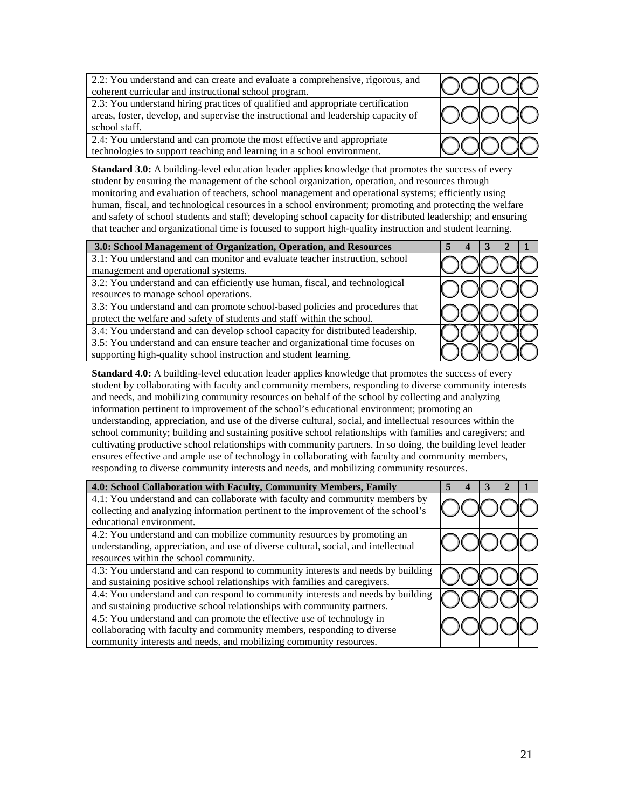| 2.2: You understand and can create and evaluate a comprehensive, rigorous, and<br>coherent curricular and instructional school program.                                                |  |  |  |
|----------------------------------------------------------------------------------------------------------------------------------------------------------------------------------------|--|--|--|
| 2.3: You understand hiring practices of qualified and appropriate certification<br>areas, foster, develop, and supervise the instructional and leadership capacity of<br>school staff. |  |  |  |
| 2.4: You understand and can promote the most effective and appropriate<br>technologies to support teaching and learning in a school environment.                                       |  |  |  |

**Standard 3.0:** A building-level education leader applies knowledge that promotes the success of every student by ensuring the management of the school organization, operation, and resources through monitoring and evaluation of teachers, school management and operational systems; efficiently using human, fiscal, and technological resources in a school environment; promoting and protecting the welfare and safety of school students and staff; developing school capacity for distributed leadership; and ensuring that teacher and organizational time is focused to support high-quality instruction and student learning.

| 3.0: School Management of Organization, Operation, and Resources                |  |  |  |
|---------------------------------------------------------------------------------|--|--|--|
| 3.1: You understand and can monitor and evaluate teacher instruction, school    |  |  |  |
| management and operational systems.                                             |  |  |  |
| 3.2: You understand and can efficiently use human, fiscal, and technological    |  |  |  |
| resources to manage school operations.                                          |  |  |  |
| 3.3: You understand and can promote school-based policies and procedures that   |  |  |  |
| protect the welfare and safety of students and staff within the school.         |  |  |  |
| 3.4: You understand and can develop school capacity for distributed leadership. |  |  |  |
| 3.5: You understand and can ensure teacher and organizational time focuses on   |  |  |  |
| supporting high-quality school instruction and student learning.                |  |  |  |

**Standard 4.0:** A building-level education leader applies knowledge that promotes the success of every student by collaborating with faculty and community members, responding to diverse community interests and needs, and mobilizing community resources on behalf of the school by collecting and analyzing information pertinent to improvement of the school's educational environment; promoting an understanding, appreciation, and use of the diverse cultural, social, and intellectual resources within the school community; building and sustaining positive school relationships with families and caregivers; and cultivating productive school relationships with community partners. In so doing, the building level leader ensures effective and ample use of technology in collaborating with faculty and community members, responding to diverse community interests and needs, and mobilizing community resources.

| 4.0: School Collaboration with Faculty, Community Members, Family                  |  |  |  |
|------------------------------------------------------------------------------------|--|--|--|
| 4.1: You understand and can collaborate with faculty and community members by      |  |  |  |
| collecting and analyzing information pertinent to the improvement of the school's  |  |  |  |
| educational environment.                                                           |  |  |  |
| 4.2: You understand and can mobilize community resources by promoting an           |  |  |  |
| understanding, appreciation, and use of diverse cultural, social, and intellectual |  |  |  |
| resources within the school community.                                             |  |  |  |
| 4.3: You understand and can respond to community interests and needs by building   |  |  |  |
| and sustaining positive school relationships with families and caregivers.         |  |  |  |
| 4.4: You understand and can respond to community interests and needs by building   |  |  |  |
| and sustaining productive school relationships with community partners.            |  |  |  |
| 4.5: You understand and can promote the effective use of technology in             |  |  |  |
| collaborating with faculty and community members, responding to diverse            |  |  |  |
| community interests and needs, and mobilizing community resources.                 |  |  |  |